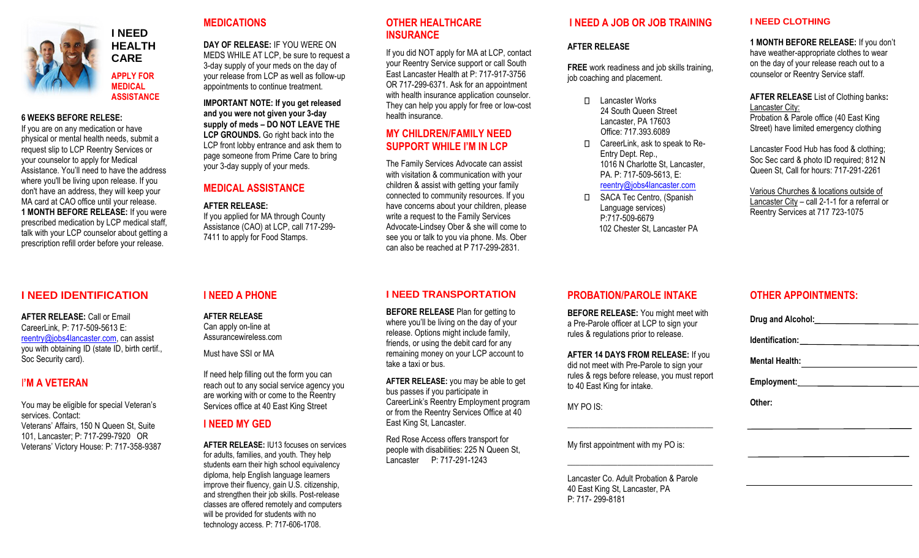

**HEALTH CARE APPLY FOR MEDICAL ASSISTANCE** 

**I NEED** 

#### **6 WEEKS BEFORE RELESE:**

If you are on any medication or have physical or mental health needs, submit a request slip to LCP Reentry Services or your counselor to apply for Medical Assistance. You'll need to have the address where you'll be living upon release. If you don't have an address, they will keep your MA card at CAO office until your release. **1 MONTH BEFORE RELEASE:** If you were prescribed medication by LCP medical staff, talk with your LCP counselor about getting a prescription refill order before your release.

### **I NEED IDENTIFICATION**

**AFTER RELEASE:** Call or Email CareerLink, P: 717-509-5613 E: [reentry@jobs4lancaster.com,](mailto:reentry@jobs4lancaster.com) can assist you with obtaining ID (state ID, birth certif., Soc Security card).

### I**'M A VETERAN**

You may be eligible for special Veteran's services. Contact: Veterans' Affairs, 150 N Queen St, Suite 101, Lancaster; P: 717-299-7920 OR Veterans' Victory House: P: 717-358-9387

### **MEDICATIONS**

**DAY OF RELEASE:** IF YOU WERE ON MEDS WHILE AT LCP, be sure to request a 3-day supply of your meds on the day of your release from LCP as well as follow-up appointments to continue treatment.

**IMPORTANT NOTE: If you get released and you were not given your 3-day supply of meds – DO NOT LEAVE THE**  LCP GROUNDS. Go right back into the LCP front lobby entrance and ask them to page someone from Prime Care to bring your 3-day supply of your meds.

### **MEDICAL ASSISTANCE**

#### **AFTER RELEASE:**

If you applied for MA through County Assistance (CAO) at LCP, call 717-299- 7411 to apply for Food Stamps.

#### **I NEED A PHONE**

**AFTER RELEASE** Can apply on-line at Assurancewireless.com

Must have SSI or MA

If need help filling out the form you can reach out to any social service agency you are working with or come to the Reentry Services office at 40 East King Street

#### **I NEED MY GED**

**AFTER RELEASE:** IU13 focuses on services for adults, families, and youth. They help students earn their high school equivalency diploma, help English language learners improve their fluency, gain U.S. citizenship, and strengthen their job skills. Post-release classes are offered remotely and computers will be provided for students with no technology access. P: 717-606-1708.

#### **OTHER HEALTHCARE INSURANCE**

If you did NOT apply for MA at LCP, contact your Reentry Service support or call South East Lancaster Health at P: 717-917-3756 OR 717-299-6371. Ask for an appointment with health insurance application counselor. They can help you apply for free or low-cost health insurance.

## **MY CHILDREN/FAMILY NEED SUPPORT WHILE I'M IN LCP**

The Family Services Advocate can assist with visitation & communication with your children & assist with getting your family connected to community resources. If you have concerns about your children, please write a request to the Family Services Advocate-Lindsey Ober & she will come to see you or talk to you via phone. Ms. Ober can also be reached at P 717-299-2831.

#### **I NEED TRANSPORTATION**

**BEFORE RELEASE** Plan for getting to where you'll be living on the day of your release. Options might include family, friends, or using the debit card for any remaining money on your LCP account to take a taxi or bus.

**AFTER RELEASE:** you may be able to get bus passes if you participate in CareerLink's Reentry Employment program or from the Reentry Services Office at 40 East King St, Lancaster.

Red Rose Access offers transport for people with disabilities: 225 N Queen St, Lancaster P: 717-291-1243

#### **I NEED A JOB OR JOB TRAINING**

#### **AFTER RELEASE**

**FREE** work readiness and job skills training, job coaching and placement.

- Lancaster Works 24 South Queen Street Lancaster, PA 17603 Office: 717.393.6089
- П. CareerLink, ask to speak to Re-Entry Dept. Rep., 1016 N Charlotte St. Lancaster, PA. P: 717-509-5613, E: [reentry@jobs4lancaster.com](mailto:reentry@jobs4lancaster.com)
- SACA Tec Centro, (Spanish  $\Box$ Language services) P:717-509-6679 102 Chester St, Lancaster PA

#### **I NEED CLOTHING**

**1 MONTH BEFORE RELEASE:** If you don't have weather-appropriate clothes to wear on the day of your release reach out to a counselor or Reentry Service staff.

**AFTER RELEASE** List of Clothing banks**:** Lancaster City:

Probation & Parole office (40 East King Street) have limited emergency clothing

Lancaster Food Hub has food & clothing; Soc Sec card & photo ID required; 812 N Queen St, Call for hours: 717-291-2261

Various Churches & locations outside of Lancaster City – call 2-1-1 for a referral or Reentry Services at 717 723-1075

#### **PROBATION/PAROLE INTAKE**

**BEFORE RELEASE:** You might meet with a Pre-Parole officer at LCP to sign your rules & regulations prior to release.

**AFTER 14 DAYS FROM RELEASE:** If you did not meet with Pre-Parole to sign your rules & regs before release, you must report to 40 East King for intake.

\_\_\_\_\_\_\_\_\_\_\_\_\_\_\_\_\_\_\_\_\_\_\_\_\_\_\_\_\_\_\_\_\_\_\_

\_\_\_\_\_\_\_\_\_\_\_\_\_\_\_\_\_\_\_\_\_\_\_\_\_\_\_\_\_\_\_\_\_\_\_

MY PO IS:

My first appointment with my PO is:

Lancaster Co. Adult Probation & Parole 40 East King St, Lancaster, PA P: 717- 299-8181

# **OTHER APPOINTMENTS:**

**Drug and Alcohol:**

**Identification:**

**Mental Health:**

**Employment:** 

**Other:**